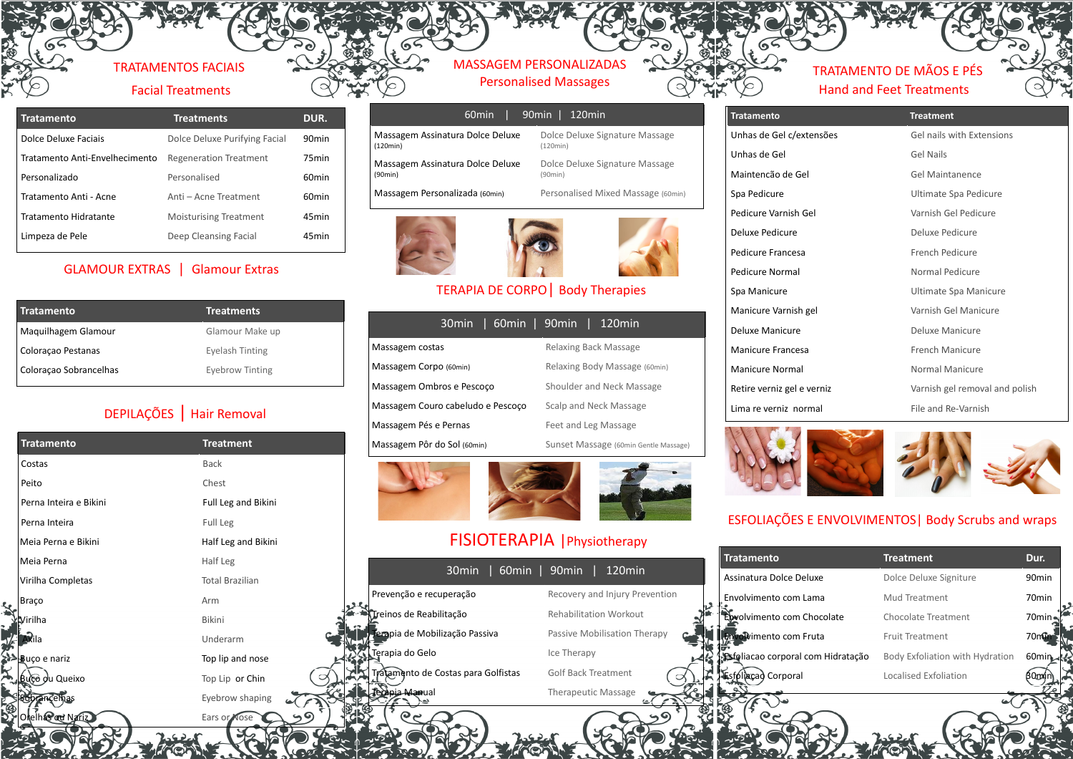### TRATAMENTOS FACIAIS Facial Treatments

| <b>Tratamento</b>              | <b>Treatments</b>             | DUR.              |
|--------------------------------|-------------------------------|-------------------|
| Dolce Deluxe Faciais           | Dolce Deluxe Purifying Facial | 90 <sub>min</sub> |
| Tratamento Anti-Envelhecimento | <b>Regeneration Treatment</b> | 75 <sub>min</sub> |
| Personalizado                  | Personalised                  | 60 <sub>min</sub> |
| Tratamento Anti - Acne         | Anti - Acne Treatment         | 60 <sub>min</sub> |
| Tratamento Hidratante          | <b>Moisturising Treatment</b> | 45 <sub>min</sub> |
| Limpeza de Pele                | Deep Cleansing Facial         | 45 <sub>min</sub> |

## GLAMOUR EXTRAS | Glamour Extras

| Tratamento             | <b>Treatments</b> |
|------------------------|-------------------|
| Maguilhagem Glamour    | Glamour Make up   |
| Coloração Pestanas     | Eyelash Tinting   |
| Coloração Sobrancelhas | Eyebrow Tinting   |

# DEPILAÇÕES | Hair Removal

| <b>Tratamento</b>      | <b>Treatment</b>       |
|------------------------|------------------------|
| Costas                 | <b>Back</b>            |
| Peito                  | Chest                  |
| Perna Inteira e Bikini | Full Leg and Bikini    |
| Perna Inteira          | Full Leg               |
| Meia Perna e Bikini    | Half Leg and Bikini    |
| Meia Perna             | Half Leg               |
| Virilha Completas      | <b>Total Brazilian</b> |
| <b>Braço</b>           | Arm                    |
| Virilha                | <b>Bikini</b>          |
| Axila                  | Underarm               |
| <b>Buço e nariz</b>    | Top lip and nose       |
| Bucò du Queixo         | Top Lip or Chin        |
| brancelhas             | Eyebrow shaping        |
| Orein& od Nariz        | Ears or Nose           |

ANTICIPAL

#### MASSAGEM PERSONALIZADAS Personalised Massages

|                                              | 60min | 90min   '<br>$120$ min                     |
|----------------------------------------------|-------|--------------------------------------------|
| Massagem Assinatura Dolce Deluxe<br>(120min) |       | Dolce Deluxe Signature Massage<br>(120min) |
| Massagem Assinatura Dolce Deluxe<br>(90min)  |       | Dolce Deluxe Signature Massage<br>(90min)  |
| Massagem Personalizada (60min)               |       | Personalised Mixed Massage (60min)         |





#### TERAPIA DE CORPO| Body Therapies

|                                   |  | 30min   60min   90min   120min |                              |                                       |
|-----------------------------------|--|--------------------------------|------------------------------|---------------------------------------|
| Massagem costas                   |  |                                | <b>Relaxing Back Massage</b> |                                       |
| Massagem Corpo (60min)            |  | Relaxing Body Massage (60min)  |                              |                                       |
| Massagem Ombros e Pescoco         |  | Shoulder and Neck Massage      |                              |                                       |
| Massagem Couro cabeludo e Pescoco |  | Scalp and Neck Massage         |                              |                                       |
| Massagem Pés e Pernas             |  |                                | Feet and Leg Massage         |                                       |
| Massagem Pôr do Sol (60min)       |  |                                |                              | Sunset Massage (60min Gentle Massage) |
|                                   |  |                                |                              |                                       |





# FISIOTERAPIA |Physiotherapy

| 30 <sub>min</sub>                   | 60min   90min  <br>120min      |
|-------------------------------------|--------------------------------|
| Prevenção e recuperação             | Recovery and Injury Prevention |
| Treinos de Reabilitação             | <b>Rehabilitation Workout</b>  |
| Terapia de Mobilização Passiva      | Passive Mobilisation Therapy   |
| Terapia do Gelo                     | Ice Therapy                    |
| Tratamento de Costas para Golfistas | <b>Golf Back Treatment</b>     |
| Termia Mamual                       | <b>Therapeutic Massage</b>     |
|                                     |                                |

# TRATAMENTO DE MÃOS E PÉS Hand and Feet Treatments

| <b>Tratamento</b>          | <b>Treatment</b>               |
|----------------------------|--------------------------------|
| Unhas de Gel c/extensões   | Gel nails with Extensions      |
| Unhas de Gel               | <b>Gel Nails</b>               |
| Maintencão de Gel          | Gel Maintanence                |
| Spa Pedicure               | Ultimate Spa Pedicure          |
| Pedicure Varnish Gel       | Varnish Gel Pedicure           |
| Deluxe Pedicure            | Deluxe Pedicure                |
| Pedicure Francesa          | French Pedicure                |
| Pedicure Normal            | Normal Pedicure                |
| Spa Manicure               | Ultimate Spa Manicure          |
| Manicure Varnish gel       | Varnish Gel Manicure           |
| Deluxe Manicure            | Deluxe Manicure                |
| Manicure Francesa          | <b>French Manicure</b>         |
| Manicure Normal            | Normal Manicure                |
| Retire verniz gel e verniz | Varnish gel removal and polish |
| Lima re verniz normal      | File and Re-Varnish            |



# ESFOLIAÇÕES E ENVOLVIMENTOS| Body Scrubs and wraps

| <b>Tratamento</b>                         | <b>Treatment</b>                | Dur.              |
|-------------------------------------------|---------------------------------|-------------------|
| Assinatura Dolce Deluxe                   | Dolce Deluxe Signiture          | 90 <sub>min</sub> |
| Envolvimento com Lama                     | Mud Treatment                   | 70 <sub>min</sub> |
| Envolvimento com Chocolate                | Chocolate Treatment             | $70$ min          |
| <b>Envolv</b> imento com Fruta            | <b>Fruit Treatment</b>          | 70m               |
| <b>Esfoliacao corporal com Hidratação</b> | Body Exfoliation with Hydration | $60$ min          |
| Esfóliaçao Corporal                       | Localised Exfoliation           |                   |
|                                           |                                 |                   |